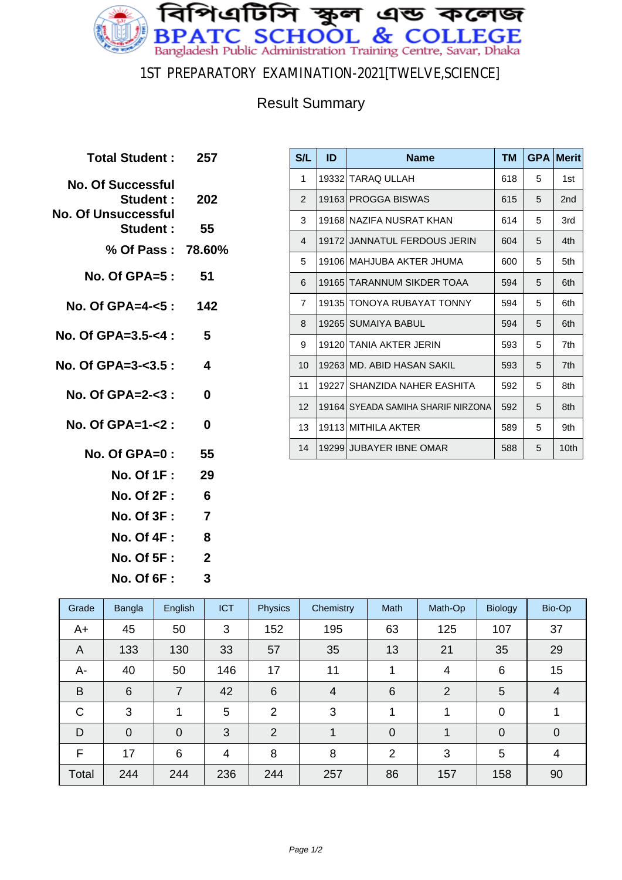

#### 1ST PREPARATORY EXAMINATION-2021[TWELVE,SCIENCE]

### Result Summary

| Total Student: 257                                                  |                  |
|---------------------------------------------------------------------|------------------|
| <b>No. Of Successful</b><br>Student :<br><b>No. Of Unsuccessful</b> | -202             |
| <b>Student:</b>                                                     | 55               |
| % Of Pass: 78.60%                                                   |                  |
| No. Of GPA=5 :                                                      | -51              |
| No. Of GPA=4-<5: 142                                                |                  |
| No. Of GPA=3.5-<4 :                                                 | 5                |
| No. Of GPA=3-<3.5:                                                  | $\boldsymbol{4}$ |
| No. Of GPA=2-<3:                                                    | 0                |
| No. Of GPA=1-<2 :                                                   | 0                |
| No. Of GPA= $0: 55$                                                 |                  |
| <b>No. Of 1F :</b>                                                  | 29               |
| <b>No. Of 2F :</b>                                                  | 6                |
| <b>No. Of 3F :</b>                                                  | $\overline{7}$   |
| <b>No. Of 4F:</b>                                                   | 8                |
| <b>No. Of 5F :</b>                                                  | $\overline{2}$   |
|                                                                     |                  |

**No. Of 6F : 3**

| S/L             | ID     | <b>Name</b>                         | <b>TM</b> | <b>GPA</b> | <b>Merit</b>     |
|-----------------|--------|-------------------------------------|-----------|------------|------------------|
| 1               | 193321 | <b>TARAQ ULLAH</b>                  | 618       | 5          | 1st              |
| 2               |        | 19163  PROGGA BISWAS                | 615       | 5          | 2nd              |
| 3               |        | 19168 NAZIFA NUSRAT KHAN            | 614       | 5          | 3rd              |
| $\overline{4}$  |        | 19172  JANNATUL FERDOUS JERIN       | 604       | 5          | 4th              |
| 5               |        | 19106 MAHJUBA AKTER JHUMA           | 600       | 5          | 5th              |
| 6               |        | 19165 TARANNUM SIKDER TOAA          | 594       | 5          | 6th              |
| $\overline{7}$  | 19135  | TONOYA RUBAYAT TONNY                | 594       | 5          | 6th              |
| 8               |        | 19265 SUMAIYA BABUL                 | 594       | 5          | 6th              |
| 9               |        | 19120 TANIA AKTER JERIN             | 593       | 5          | 7th              |
| 10 <sup>1</sup> |        | 19263 MD, ABID HASAN SAKIL          | 593       | 5          | 7th              |
| 11              | 19227  | SHANZIDA NAHER FASHITA              | 592       | 5          | 8th              |
| 12 <sup>2</sup> |        | 19164  SYEADA SAMIHA SHARIF NIRZONA | 592       | 5          | 8th              |
| 13              |        | 19113 MITHILA AKTER                 | 589       | 5          | 9th              |
| 14              |        | 19299 JUBAYER IBNE OMAR             | 588       | 5          | 10 <sub>th</sub> |

| Grade        | <b>Bangla</b> | English        | <b>ICT</b>     | <b>Physics</b>  | Chemistry      | Math           | Math-Op | <b>Biology</b> | Bio-Op         |
|--------------|---------------|----------------|----------------|-----------------|----------------|----------------|---------|----------------|----------------|
| A+           | 45            | 50             | 3              | 152             | 195            | 63             | 125     | 107            | 37             |
| A            | 133           | 130            | 33             | 57              | 35             | 13             | 21      | 35             | 29             |
| A-           | 40            | 50             | 146            | 17              | 11             |                | 4       | 6              | 15             |
| B            | 6             | 7              | 42             | $6\phantom{1}6$ | $\overline{4}$ | 6              | 2       | 5              | $\overline{4}$ |
| $\mathsf{C}$ | 3             | 4              | 5              | $\overline{2}$  | 3              | 1              | 1       | $\mathbf 0$    |                |
| D            | $\mathbf 0$   | $\overline{0}$ | 3              | $\overline{2}$  | 1              | $\mathbf 0$    | 1       | $\overline{0}$ | $\mathbf 0$    |
| F            | 17            | 6              | $\overline{4}$ | 8               | 8              | $\overline{2}$ | 3       | 5              | 4              |
| Total        | 244           | 244            | 236            | 244             | 257            | 86             | 157     | 158            | 90             |